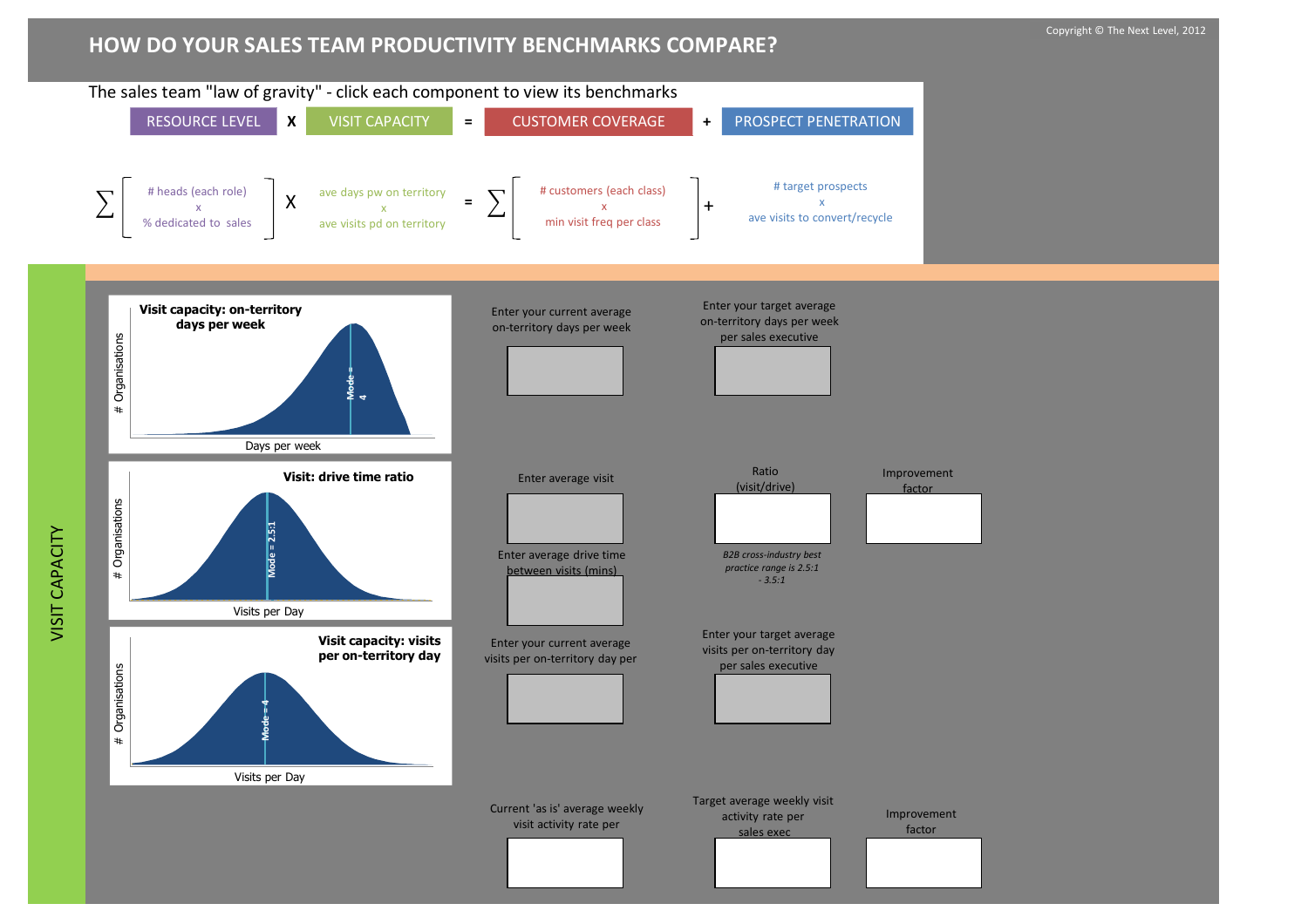## **HOW DO YOUR SALES TEAM PRODUCTIVITY BENCHMARKS COMPARE?**

VISIT CAPACITY

VISIT CAPACITY

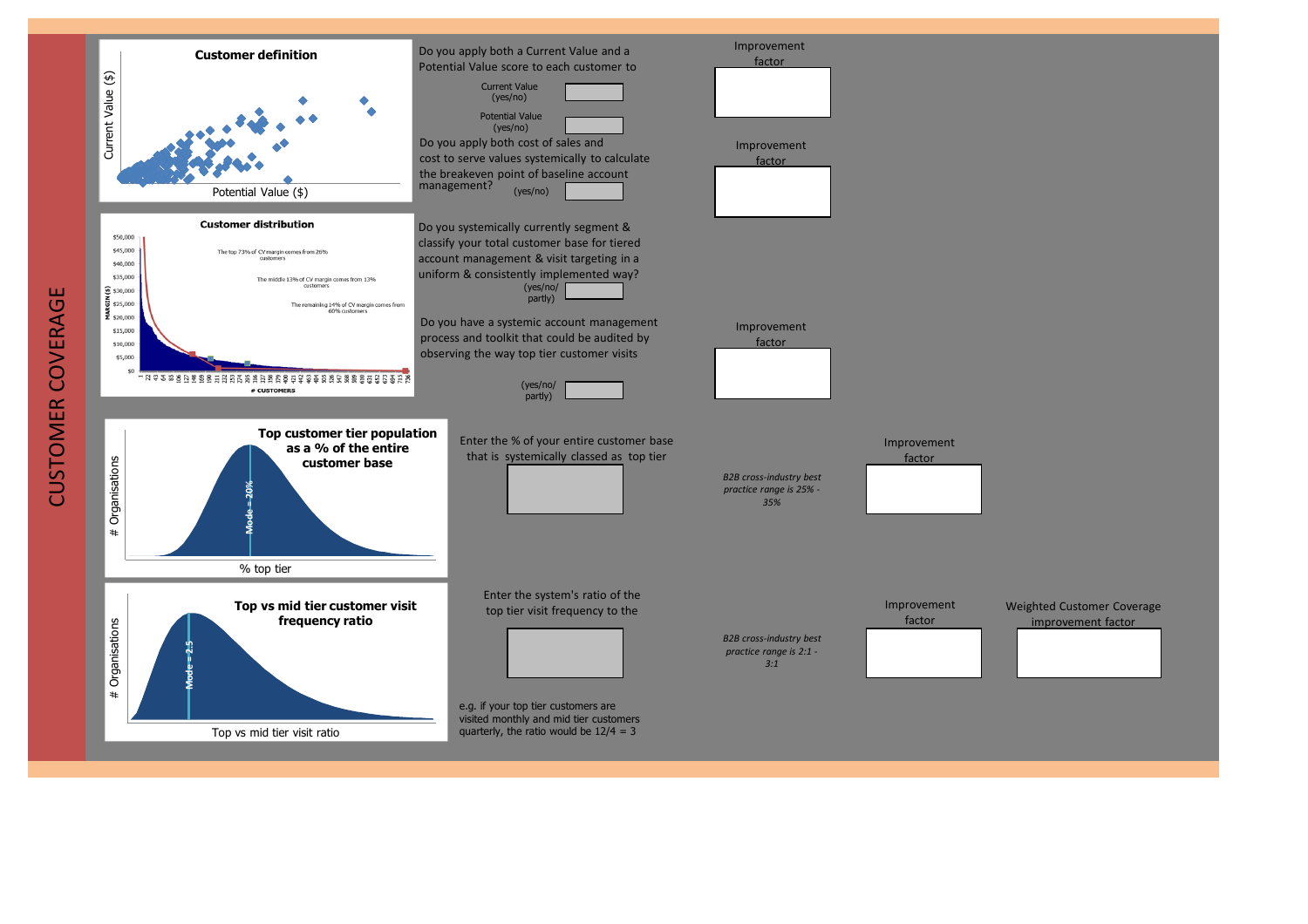